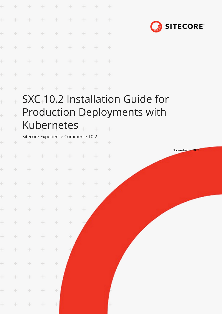| ÷         | ÷      | ÷                                                  | $+$           | ÷             | ÷                 | ÷     |               | $+$           |                                             |
|-----------|--------|----------------------------------------------------|---------------|---------------|-------------------|-------|---------------|---------------|---------------------------------------------|
| ÷         | ÷      | $+$                                                | $\pm$         | $\frac{1}{2}$ | $\oplus$          | ÷     | ÷             | $\rightarrow$ |                                             |
| ÷         | ÷.     | ÷                                                  | $+$           | ÷             | $\rightarrow$     | $+$   | ÷             | $+$           | <b>SITECORE</b>                             |
| ÷         | ÷.     | $\div$                                             | $+$           | $+$           | $+$               | $+$   | $+$           | $+$           |                                             |
| Ł         | ÷.     | $+$                                                | $-+$          | $\div$        | $+$               | $+$   | $+$           | $+$           |                                             |
| ÷         | ÷      | ÷                                                  | $\pm$         | $+$           | $\rightarrow$     | $+$   | $\rightarrow$ | $\rightarrow$ |                                             |
| ÷         | ÷      |                                                    |               | ÷             | ÷                 |       |               | $+$           |                                             |
| ł         |        |                                                    |               |               |                   |       |               |               | SXC <sub>+10.2</sub> Installation Guide for |
| $\ddot{}$ | $\pm$  |                                                    |               |               |                   |       |               |               | <b>Production Deployments with</b>          |
| $\ddot{}$ |        |                                                    |               |               | <b>Kubernetes</b> |       |               |               |                                             |
| ÷         | ÷      | Sitecore Experience Commerce 10.2<br>$\rightarrow$ | ÷.            | ÷             |                   | ÷.    |               | $+$           |                                             |
| ÷         |        |                                                    |               | ÷             | ÷                 |       |               | ÷             | November 4, 2021                            |
|           |        |                                                    |               |               |                   |       |               |               |                                             |
|           | $\pm$  | $+ + + + + + +$                                    |               |               |                   |       |               | $+$           |                                             |
| ÷.        | $\pm$  | $+$                                                | $+$           | $\div$        | $\pm$             | $+$   | $+$           | $\pm$         |                                             |
| $\pm$     | $+$    | $+$                                                | $+$           | $\div$        | $\div$            | $+$   | $\div$        |               |                                             |
| $\pm$     | ÷      | $\pm$                                              | ÷.            | ÷             | ÷.                | $\pm$ |               |               |                                             |
| $\pm$     | $\div$ | $\div$                                             | ÷.            | $\div$        | $\div$            |       |               |               |                                             |
| $\pm$     | $\pm$  | $\pm$                                              | ÷             | $\div$        | ÷                 |       |               |               |                                             |
| $\pm$     | $\pm$  | $\pm$                                              | ÷             | $\div$        |                   |       |               |               |                                             |
| ÷.        | ÷      | $\div$                                             | ÷             | $\div$        |                   |       |               |               |                                             |
| $\pm$     | $\pm$  | $\pm$                                              | ÷.            | ÷             |                   |       |               |               |                                             |
| ÷.        | $\pm$  | ÷                                                  | $\pm$         | ÷             |                   |       |               |               |                                             |
| $\pm$     | $+$    | $\pm$                                              | $\rightarrow$ | 土             |                   |       |               | ÷.            |                                             |
|           |        |                                                    |               |               |                   |       |               |               |                                             |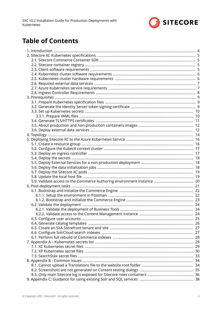

# **Table of Contents**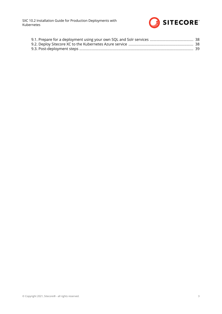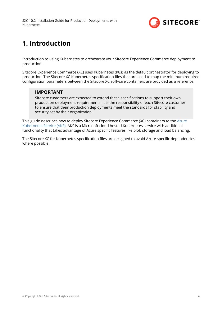

# <span id="page-3-0"></span>**1. Introduction**

Introduction to using Kubernetes to orchestrate your Sitecore Experience Commerce deployment to production.

Sitecore Experience Commerce (XC) uses Kubernetes (K8s) as the default orchestrator for deploying to production. The Sitecore XC Kubernetes specification files that are used to map the minimum required configuration parameters between the Sitecore XC software containers are provided as a reference.

### **IMPORTANT**

Sitecore customers are expected to extend these specifications to support their own production deployment requirements. It is the responsibility of each Sitecore customer to ensure that their production deployments meet the standards for stability and security set by their organization.

This guide describes how to deploy Sitecore Experience Commerce (XC) containers to the [Azure](https://docs.microsoft.com/en-us/azure/aks/intro-kubernetes) [Kubernetes Service \(AKS\).](https://docs.microsoft.com/en-us/azure/aks/intro-kubernetes) AKS is a Microsoft cloud hosted Kubernetes service with additional functionality that takes advantage of Azure specific features like blob storage and load balancing.

The Sitecore XC for Kubernetes specification files are designed to avoid Azure specific dependencies where possible.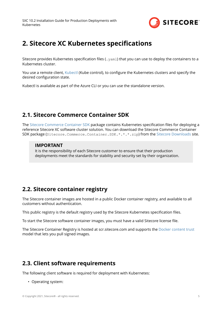

# <span id="page-4-0"></span>**2. Sitecore XC Kubernetes specifications**

Sitecore provides Kubernetes specification files (.  $yam1$ ) that you can use to deploy the containers to a Kubernetes cluster.

You use a remote client, [Kubectl](https://kubernetes.io/docs/reference/kubectl/overview/) (Kube control), to configure the Kubernetes clusters and specify the desired configuration state.

Kubectl is available as part of the Azure CLI or you can use the standalone version.

## **2.1. Sitecore Commerce Container SDK**

The [Sitecore Commerce Container SDK](https://doc.sitecore.com/developers/102/sitecore-experience-commerce/en/sitecore-commerce-container-sdk.html) package contains Kubernetes specification files for deploying a reference Sitecore XC software cluster solution. You can download the Sitecore Commerce Container SDK package (Sitecore.Commerce.Container.SDK.\*.\*.\*.zip) from the [Sitecore Downloads](https://dev.sitecore.net/Downloads/Sitecore_Commerce/102/Sitecore_Experience_Commerce_102.aspx) site.

### **IMPORTANT**

It is the responsibility of each Sitecore customer to ensure that their production deployments meet the standards for stability and security set by their organization.

## **2.2. Sitecore container registry**

The Sitecore container images are hosted in a public Docker container registry, and available to all customers without authentication.

This public registry is the default registry used by the Sitecore Kubernetes specification files.

To start the Sitecore software container images, you must have a valid Sitecore license file.

The Sitecore Container Registry is hosted at scr.sitecore.com and supports the [Docker content trust](https://docs.docker.com/engine/security/trust/content_trust/) model that lets you pull signed images.

## **2.3. Client software requirements**

The following client software is required for deployment with Kubernetes:

• Operating system: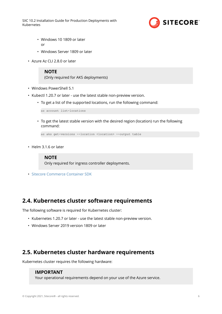

- <span id="page-5-0"></span>• Windows 10 1809 or later or
- Windows Server 1809 or later
- Azure Az CLI 2.8.0 or later

### **NOTE**

(Only required for AKS deployments)

- Windows PowerShell 5.1
- Kubectl 1.20.7 or later use the latest stable non-preview version.
	- To get a list of the supported locations, run the following command:

az account list-locations

• To get the latest stable version with the desired region (location) run the following command:

az aks get-versions --location <location> --output table

• Helm 3.1.6 or later

### **NOTE**

Only required for ingress controller deployments.

• [Sitecore Commerce Container SDK](https://dev.sitecore.net/Downloads/Sitecore_Commerce/102/Sitecore_Experience_Commerce_102.aspx)

## **2.4. Kubernetes cluster software requirements**

The following software is required for Kubernetes cluster:

- Kubernetes 1.20.7 or later use the latest stable non-preview version.
- Windows Server 2019 version 1809 or later

## **2.5. Kubernetes cluster hardware requirements**

Kubernetes cluster requires the following hardware:

### **IMPORTANT**

Your operational requirements depend on your use of the Azure service.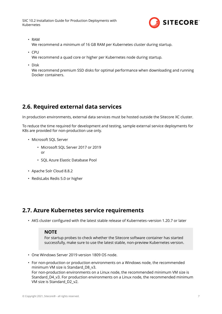

<span id="page-6-0"></span>• RAM

We recommend a minimum of 16 GB RAM per Kubernetes cluster during startup.

• CPU

We recommend a quad core or higher per Kubernetes node during startup.

• Disk

We recommend premium SSD disks for optimal performance when downloading and running Docker containers.

## **2.6. Required external data services**

In production environments, external data services must be hosted outside the Sitecore XC cluster.

To reduce the time required for development and testing, sample external service deployments for K8s are provided for non-production use only.

- Microsoft SQL Server
	- Microsoft SQL Server 2017 or 2019 or
	- SQL Azure Elastic Database Pool
- Apache Solr Cloud 8.8.2
- RedisLabs Redis 5.0 or higher

## **2.7. Azure Kubernetes service requirements**

• AKS cluster configured with the latest stable release of Kubernetes–version 1.20.7 or later

### **NOTE**

For startup probes to check whether the Sitecore software container has started successfully, make sure to use the latest stable, non-preview Kubernetes version.

- One Windows Server 2019 version 1809 OS node.
- For non-production or production environments on a Windows node, the recommended minimum VM size is Standard\_D8\_v3. For non-production environments on a Linux node, the recommended minimum VM size is Standard D4 v3. For production environments on a Linux node, the recommended minimum VM size is Standard\_D2\_v2.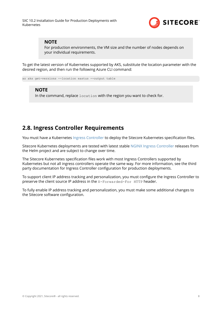

### <span id="page-7-0"></span>**NOTE**

For production environments, the VM size and the number of nodes depends on your individual requirements.

To get the latest version of Kubernetes supported by AKS, substitute the location parameter with the desired region, and then run the following Azure CLI command:

az aks get-versions --location eastus --output table

### **NOTE**

In the command, replace location with the region you want to check for.

## **2.8. Ingress Controller Requirements**

You must have a Kubernetes [Ingress Controller](https://kubernetes.io/docs/concepts/services-networking/ingress-controllers/) to deploy the Sitecore Kubernetes specification files.

Sitecore Kubernetes deployments are tested with latest stable [NGINX Ingress Controller](https://github.com/helm/charts/tree/master/stable/nginx-ingress) releases from the Helm project and are subject to change over time.

The Sitecore Kubernetes specification files work with most Ingress Controllers supported by Kubernetes but not all ingress controllers operate the same way. For more information, see the third party documentation for Ingress Controller configuration for production deployments.

To support client IP address tracking and personalization, you must configure the Ingress Controller to preserve the client source IP address in the X-Forwarded-For HTTP header.

To fully enable IP address tracking and personalization, you must make some additional changes to the Sitecore software configuration.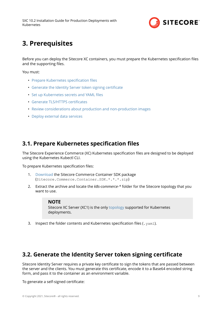

# <span id="page-8-0"></span>**3. Prerequisites**

Before you can deploy the Sitecore XC containers, you must prepare the Kubernetes specification files and the supporting files.

You must:

- Prepare Kubernetes specification files
- Generate the Identity Server token signing certificate
- Set up Kubernetes secrets and YAML files
- Generate TLS/HTTPS certificates
- [Review considerations about production and non-production images](#page-11-0)
- [Deploy external data services](#page-11-0)

## **3.1. Prepare Kubernetes specification files**

The Sitecore Experience Commerce (XC) Kubernetes specification files are designed to be deployed using the Kubernetes Kubectl CLI.

To prepare Kubernetes specification files:

- 1. [Download](https://dev.sitecore.net/Downloads/Sitecore_Commerce/102/Sitecore_Experience_Commerce_102.aspx) the Sitecore Commerce Container SDK package (Sitecore.Commerce.Container.SDK.\*.\*.\*.zip)
- 2. Extract the archive and locate the *k8s-commerce-\** folder for the Sitecore topology that you want to use.

#### **NOTE**

Sitecore XC Server (XC1) is the only [topology](#page-13-0) supported for Kubernetes deployments.

3. Inspect the folder contents and Kubernetes specification files (.  $yam1$ ).

## **3.2. Generate the Identity Server token signing certificate**

Sitecore Identity Server requires a private key certificate to sign the tokens that are passed between the server and the clients. You must generate this certificate, encode it to a Base64 encoded string form, and pass it to the container as an environment variable.

To generate a self-signed certificate: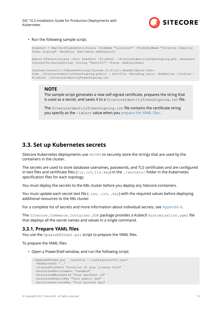

<span id="page-9-0"></span>• Run the following sample script.

```
$newCert = New-SelfSignedCertificate -DnsName "localhost" -FriendlyName "Sitecore Identity 
Token Signing" -NotAfter (Get-Date).AddYears(5)
Export-PfxCertificate -Cert $newCert -FilePath .\SitecoreIdentityTokenSigning.pfx -Password
(ConvertTo-SecureString -String "Test123!" -Force -AsPlainText)
[System.Convert]::ToBase64String([System.IO.File]::ReadAllBytes((Get-
Item .\SitecoreIdentityTokenSigning.pfx))) | Out-File -Encoding ascii -NoNewline -Confirm -
FilePath .\SitecoreIdentityTokenSigning.txt
```
### **NOTE**

The sample script generates a new self-signed certificate, prepares the string that is used as a secret, and saves it to a SitecoreIdentityTokenSigning.txt file.

The SitecoreIdentityTokenSigning.txt file contains the certificate string you specify as the -idCert value when you prepare the YAML files.

## **3.3. Set up Kubernetes secrets**

Sitecore Kubernetes deployments use [secrets](https://kubernetes.io/docs/concepts/configuration/secret/) to securely store the strings that are used by the containers in the cluster.

The secrets are used to store database usenames, passwords, and TLS certificates and are configured in text files and certificate files (tls.crt, tls.key) in the ./secrets/ folder in the Kubernetes specification files for each topology.

You must deploy the secrets to the K8s cluster before you deploy any Sitecore containers.

You must update each secret text file (.txt, .crt, .key) with the required values before deploying additional resources to the K8s cluster.

For a complete list of secrets and more information about individual secrets, see [Appendix A.](#page-28-0)

The Sitecore. Commerce. Container. SDK package provides a Kubectl kustomization. yaml file that deploys all the secret names and values in a single command.

### **3.3.1. Prepare YAML files**

You use the UpdateK8SYaml.ps1 script to prepare the YAML files.

To prepare the YAML files:

• Open a PowerShell window, and run the following script:

```
.\UpdateK8SYaml.ps1 -jsonFile '.\configltsc2019.json' ` 
  -k8sRootPath '..'
  -licenseFilePath "Location of your licence file" `
  -braintreeEnvironment "sandbox"
 -braintreeMerchantId "Your merchant id"
  -braintreePublicKey "Your public key"
  -braintreePrivateKey "Your private key"
```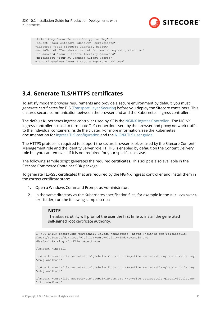

```
 -telerikKey "Your Telerik Encryption Key" `
 -idCert "Your Sitecore Identity certificate" `
-idSecret "Your Sitecore Identity secret"
 -mediaSecret "You shared secret for media request protection" 
 -idPassword "Your Sitecore Identity password" `
 -xcIdSecret "Your XC Connect Client Secret" `
 -reportingApiKey "Your Sitecore Reporting API key"
```
## **3.4. Generate TLS/HTTPS certificates**

To satisfy modern browser requirements and provide a secure environment by default, you must generate certificates for TLS [\(Transport Layer Security](https://en.wikipedia.org/wiki/Transport_Layer_Security)) before you deploy the Sitecore containers. This ensures secure communication between the browser and and the Kubernetes ingress controller.

The default Kubernetes ingress controller used by XC is the [NGINX Ingress Controller](https://www.nginx.com/products/nginx/kubernetes-ingress-controller/) . The NGINX ingress controller is used to terminate TLS connections sent by the browser and proxy network traffic to the individual containers inside the cluster. For more information, see the Kubernetes documentation for ingress TLS configuration and the [NIGNX TLS user guide](https://kubernetes.github.io/ingress-nginx/user-guide/tls/).

The HTTPS protocol is required to support the secure browser cookies used by the Sitecore Content Management role and the Identity Server role. HTTPS is enabled by default on the Content Delivery role but you can remove it if it is not required for your specific use case.

The following sample script generates the required certificates. This script is also available in the Sitecore Commerce Container SDK package.

To generate TLS/SSL certificates that are required by the NGINX ingress controller and install them in the correct certificate store:

- 1. Open a Windows Command Prompt as Administrator.
- 2. In the same directory as the Kubernetes specification files, for example in the  $k8s$ -commercexc1 folder, run the following sample script:

### **NOTE**

The mkcert utility will prompt the user the first time to install the generated self-signed root certificate authority.

```
IF NOT EXIST mkcert.exe powershell Invoke-WebRequest https://github.com/FiloSottile/
mkcert/releases/download/v1.4.1/mkcert-v1.4.1-windows-amd64.exe
-UseBasicParsing -OutFile mkcert.exe
.\mkcert -install
.\mkcert -cert-file secrets\tls\global-cm\tls.crt -key-file secrets\tls\global-cm\tls.key 
"cm.globalhost"
.\mkcert -cert-file secrets\tls\global-cd\tls.crt -key-file secrets\tls\global-cd\tls.key 
"cd.globalhost"
./mkcert -cert-file secrets\tls\global-id\tls.crt -key-file secrets\tls\global-id\tls.key 
"id.globalhost"
```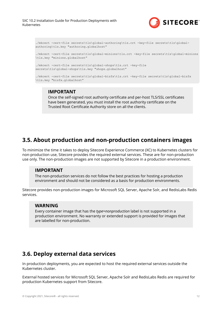

```
./mkcert -cert-file secrets\tls\global-authoring\tls.crt -key-file secrets\tls\global-
authoring\tls.key "authoring.globalhost"
./mkcert -cert-file secrets\tls\global-minions\tls.crt -key-file secrets\tls\global-minions
\tls.key "minions.globalhost"
./mkcert -cert-file secrets\tls\global-shops\tls.crt -key-file
secrets\tls\global-shops\tls.key "shops.globalhost"
./mkcert -cert-file secrets\tls\global-bizfx\tls.crt -key-file secrets\tls\global-bizfx
\tls.key "bizfx.globalhost"
```
### **IMPORTANT**

Once the self-signed root authority certificate and per-host TLS/SSL certificates have been generated, you must install the root authority certificate on the Trusted Root Certificate Authority store on all the clients.

## **3.5. About production and non-production containers images**

To minimize the time it takes to deploy Sitecore Experience Commerce (XC) to Kubernetes clusters for non-production use, Sitecore provides the required external services. These are for non-production use only. The non-production images are not supported by Sitecore in a production environment.

### **IMPORTANT**

The non-production services do not follow the best practices for hosting a production environment and should not be considered as a basis for production environments.

Sitecore provides non-production images for Microsoft SQL Server, Apache Solr, and RedisLabs Redis services.

### **WARNING**

Every container image that has the *type=nonproduction* label is not supported in a production environment. No warranty or extended support is provided for images that are labelled for non-production.

## **3.6. Deploy external data services**

In production deployments, you are expected to host the required external services outside the Kubernetes cluster.

External hosted services for Microsoft SQL Server, Apache Solr and RedisLabs Redis are required for production Kubernetes support from Sitecore.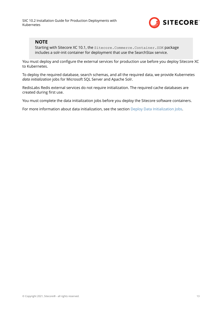

### **NOTE**

Starting with Sitecore XC 10.1, the Sitecore.Commerce.Container.SDK package includes a solr-init container for deployment that use the SearchStax service.

You must deploy and configure the external services for production use before you deploy Sitecore XC to Kubernetes.

To deploy the required database, search schemas, and all the required data, we provide Kubernetes *data initialization* jobs for Microsoft SQL Server and Apache Solr.

RedisLabs Redis external services do not require initialization. The required cache databases are created during first use.

You must complete the data initialization jobs before you deploy the Sitecore software containers.

For more information about data initialization, see the section [Deploy Data Initialization Jobs.](#page-15-0)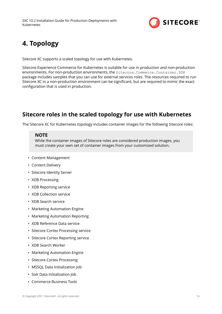

# <span id="page-13-0"></span>**4. Topology**

Sitecore XC supports a scaled topology for use with Kubernetes.

Sitecore Experience Commerce for Kubernetes is suitable for use in production and non-production environments. For non-production environments, the Sitecore.Commerce.Container.SDK package includes samples that you can use for external services roles. The resources required to run Sitecore XC in a non-production environment can be significant, but are required to mimic the exact configuration that is used in production.

## **Sitecore roles in the scaled topology for use with Kubernetes**

The Sitecore XC for Kubernetes topology includes container images for the following Sitecore roles:

### **NOTE**

While the container images of Sitecore roles are considered production images, you must create your own set of container images from your customized solution.

- Content Management
- Content Delivery
- Sitecore Identity Server
- XDB Processing
- XDB Reporting service
- XDB Collection service
- XDB Search service
- Marketing Automation Engine
- Marketing Automation Reporting
- XDB Reference Data service
- Sitecore Cortex Processing service
- Sitecore Cortex Reporting service
- XDB Search Worker
- Marketing Automation Engine
- Sitecore Cortex Processing
- MSSQL Data Initialization Job
- Solr Data Initialization Job
- Commerce Business Tools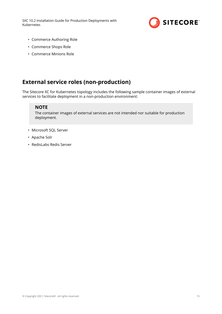

- Commerce Authoring Role
- Commerce Shops Role
- Commerce Minions Role

## **External service roles (non-production)**

The Sitecore XC for Kubernetes topology includes the following sample container images of external services to facilitate deployment in a non-production environment:

### **NOTE**

The container images of external services are not intended nor suitable for production deployment.

- Microsoft SQL Server
- Apache Solr
- RedisLabs Redis Server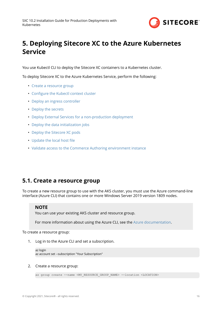

# <span id="page-15-0"></span>**5. Deploying Sitecore XC to the Azure Kubernetes Service**

You use Kubectl CLI to deploy the Sitecore XC containers to a Kubernetes cluster.

To deploy Sitecore XC to the Azure Kubernetes Service, perform the following:

- Create a resource group
- Configure the Kubectl context cluster
- [Deploy an ingress controller](#page-16-0)
- [Deploy the secrets](#page-17-0)
- [Deploy External Services for a non-production deployment](#page-17-0)
- [Deploy the data initialization jobs](#page-17-0)
- [Deploy the Sitecore XC pods](#page-18-0)
- Update the local host file
- [Validate access to the Commerce Authoring environment instance](#page-19-0)

## **5.1. Create a resource group**

To create a new resource group to use with the AKS cluster, you must use the Azure command-line interface (Azure CLI) that contains one or more Windows Server 2019 version 1809 nodes.

### **NOTE**

You can use your existing AKS cluster and resource group.

For more information about using the Azure CLI, see the [Azure documentation](https://docs.microsoft.com/en-us/azure/aks/windows-container-cli).

To create a resource group:

1. Log in to the Azure CLI and set a subscription.

```
az login
az account set --subscription "Your Subscription"
```
#### 2. Create a resource group:

```
az group create --name <MY_RESOURCE_GROUP_NAME> --location <LOCATION>
```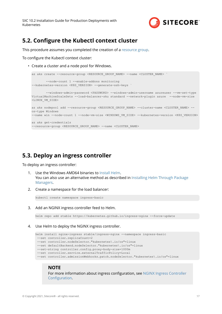

## <span id="page-16-0"></span>**5.2. Configure the Kubectl context cluster**

This procedure assumes you completed the creation of a [resource group.](https://docs.microsoft.com/en-us/azure/aks/windows-container-cli#create-a-resource-group)

To configure the Kubectl context cluster:

• Create a cluster and a node pool for Windows.

```
az aks create --resource-group <RESOURCE GROUP NAME> --name <CLUSTER NAME> `
         --node-count 1 --enable-addons monitoring
--kubernetes-version <K8S VERSION> --generate-ssh-keys
        --windows-admin-password <PASSWORD> --windows-admin-username azureuser --vm-set-type
VirtualMachineScaleSets --load-balancer-sku standard --network-plugin azure --node-vm-size 
<LINUX_VM_SIZE>
az aks nodepool add --resource-group <RESOURCE GROUP NAME> --cluster-name <CLUSTER NAME> --
os-type Windows
--name win --node-count 1 --node-vm-size <WINDOWS VM_SIZE> --kubernetes-version <K8S_VERSION>
az aks get-credentials
--resource-group <RESOURCE GROUP NAME> --name <CLUSTER_NAME>
```
## **5.3. Deploy an ingress controller**

To deploy an ingress controller:

- 1. Use the Windows AMD64 binaries to [Install Helm](https://helm.sh/docs/intro/install/). You can also use an alternative method as described in [Installing Helm Through Package](https://helm.sh/docs/intro/install/) [Managers](https://helm.sh/docs/intro/install/).
- 2. Create a namespace for the load balancer:

kubectl create namespace ingress-basic

3. Add an NGINX ingress controller feed to Helm.

helm repo add stable https://kubernetes.github.io/ingress-nginx --force-update

4. Use Helm to deploy the NGINX ingress controller.

```
helm install nginx-ingress stable/ingress-nginx --namespace ingress-basic
  --set controller.replicaCount=2
  --set controller.nodeSelector."kubernetes\.io/os"=linux
  --set defaultBackend.nodeSelector."kubernetes\.io/os"=linux
  --set-string controller.config.proxy-body-size=1000m
  --set controller.service.externalTrafficPolicy=Local
  --set controller.admissionWebhooks.patch.nodeSelector."kubernetes\.io/os"=linux
```
### **NOTE**

For more information about ingress configuration, see [NGINX Ingress Controller](https://github.com/helm/charts/tree/master/stable/nginx-ingress#configuration) Configuration.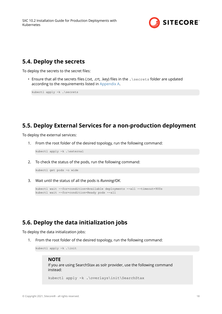

## <span id="page-17-0"></span>**5.4. Deploy the secrets**

To deploy the secrets to the secret files:

• Ensure that all the secrets files (.txt, .crt, .key) files in the . \secrets folder are updated according to the requirements listed in [Appendix A.](#page-28-0)

kubectl apply -k .\secrets

## **5.5. Deploy External Services for a non-production deployment**

To deploy the external services:

1. From the root folder of the desired topology, run the following command:

kubectl apply -k .\external

2. To check the status of the pods, run the following command:

kubectl get pods -o wide

3. Wait until the status of all the pods is *Running/OK*.

```
kubectl wait --for=condition=Available deployments --all --timeout=900s
kubectl wait --for=condition=Ready pods --all
```
## **5.6. Deploy the data initialization jobs**

To deploy the data initialization jobs:

1. From the root folder of the desired topology, run the following command:

kubectl apply -k .\init

#### **NOTE**

If you are using SearchStax as solr provider, use the following command instead:

kubectl apply -k .\overlays\init\SearchStax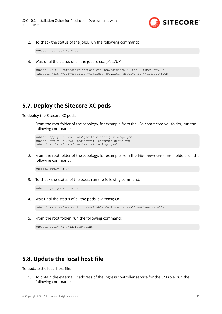

<span id="page-18-0"></span>2. To check the status of the jobs, run the following command:

kubectl get jobs -o wide

3. Wait until the status of all the jobs is *Complete/OK.*

```
kubectl wait --for=condition=Complete job.batch/solr-init --timeout=600s
 kubectl wait --for=condition=Complete job.batch/mssql-init --timeout=600s
```
## **5.7. Deploy the Sitecore XC pods**

To deploy the Sitecore XC pods:

1. From the root folder of the topology, for example from the k8s-commerce-xc1 folder, run the following command:

```
kubectl apply -f .\volumes\platform-config-storage.yaml
kubectl apply -f .\volumes\azurefile\submit-queue.yaml
kubectl apply -f .\volumes\azurefile\logs.yaml
```
2. From the root folder of the topology, for example from the  $k8s$ -commerce-xc1 folder, run the following command:

kubectl apply -k .\

3. To check the status of the pods, run the following command:

kubectl get pods -o wide

4. Wait until the status of all the pods is *Running/OK.*

```
kubectl wait --for=condition=Available deployments --all --timeout=1800s
```
5. From the root folder, run the following command:

kubectl apply -k .\ingress-nginx

## **5.8. Update the local host file**

To update the local host file:

1. To obtain the external IP address of the ingress controller service for the CM role, run the following command: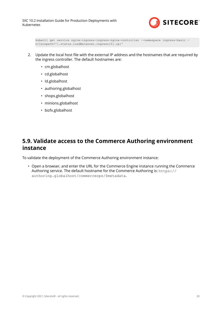

```
kubectl get service nginx-ingress-ingress-nginx-controller --namespace ingress-basic -
o=jsonpath='{.status.loadBalancer.ingress[0].ip}'
```
- 2. Update the local host file with the external IP address and the hostnames that are required by the ingress controller. The default hostnames are:
	- cm.globalhost
	- cd.globalhost
	- Id.globalhost
	- authoring.globalhost
	- shops.globalhost
	- minions.globalhost
	- bizfx.globalhost

## **5.9. Validate access to the Commerce Authoring environment instance**

To validate the deployment of the Commerce Authoring environment instance:

• Open a browser, and enter the URL for the Commerce Engine instance running the Commerce Authoring service. The default hostname for the Commerce Authoring is: https:// authoring.globalhost/commerceops/\$metadata.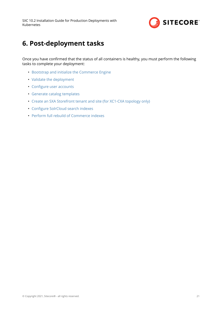

# <span id="page-20-0"></span>**6. Post-deployment tasks**

Once you have confirmed that the status of all containers is healthy, you must perform the following tasks to complete your deployment:

- [Bootstrap and initialize the Commerce Engine](#page-21-0)
- [Validate the deployment](#page-23-0)
- Configure user accounts
- [Generate catalog templates](#page-25-0)
- [Create an SXA Storefront tenant and site \(for XC1-CXA topology only\)](#page-26-0)
- Configure SolrCloud search indexes
- [Perform full rebuild of Commerce indexes](#page-27-0)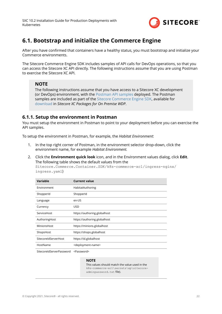

## <span id="page-21-0"></span>**6.1. Bootstrap and initialize the Commerce Engine**

After you have confirmed that containers have a healthy status, you must bootstrap and initialize your Commerce environments.

The Sitecore Commerce Engine SDK includes samples of API calls for DevOps operations, so that you can access the Sitecore XC API directly. The following instructions assume that you are using Postman to exercise the Sitecore XC API.

### **NOTE**

The following instructions assume that you have access to a Sitecore XC development (or DevOps) environment, with the [Postman API samples](https://doc.sitecore.com/en/developers/102/sitecore-experience-commerce/execute-sample-api-calls-in-postman.html) deployed. The Postman samples are included as part of the [Sitecore Commerce Engine SDK,](https://doc.sitecore.com/developers/102/sitecore-experience-commerce/en/sitecore-commerce-engine-sdk.html) available for [download](https://dev.sitecore.net/Downloads/Sitecore_Commerce/102/Sitecore_Experience_Commerce_102.aspx) in *Sitecore XC Packages for On Premise WDP*.

### **6.1.1. Setup the environment in Postman**

You must setup the environment in Postman to point to your deployment before you can exercise the API samples.

To setup the environment in Postman, for example, the *Habitat Environment*:

- 1. In the top right corner of Postman, in the environment selector drop-down, click the environment name, for example *Habitat Environment.*
- 2. Click the **Environment quick look** icon, and in the Environment values dialog, click **Edit**. The following table shows the default values from the

Sitecore.Commerce.Container.SDK/k8s-commerce-xc1/ingress-nginx/ ingress.yaml)

| <b>Variable</b>      | <b>Current value</b>                |
|----------------------|-------------------------------------|
| Environment          | HabitatAuthoring                    |
| ShopperId            | ShopperId                           |
| Language             | en-US                               |
| Currency             | USD.                                |
| ServiceHost          | https://authoring.globalhost        |
| AuthoringHost        | https://authoring.globalhost        |
| MinionsHost          | https://minions.globalhost          |
| ShopsHost            | https://shops.globalhost            |
| SitecoreIdServerHost | https://id.globalhost               |
| HostName             | <deployment-name></deployment-name> |
|                      |                                     |

SitecoreIdServerPassword <Password>

#### **NOTE**

This values should match the value used in the k8s-commerce-xc1\secrets\xp\sitecoreadminpassword.txt file).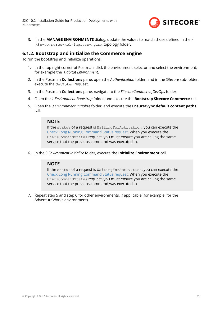

<span id="page-22-0"></span>3. In the **MANAGE ENVIRONMENTS** dialog, update the values to match those deȴned in the / k8s-commerce-xc1/ingress-nginx topology folder.

### **6.1.2. Bootstrap and initialize the Commerce Engine**

To run the bootstrap and initialize operations:

- 1. In the top right corner of Postman, click the environment selector and select the environment, for example the *Habitat Environment*.
- 2. In the Postman **Collections** pane, open the *Authentication* folder, and in the *Sitecore* sub-folder, execute the GetToken request.
- 3. In the Postman **Collections** pane, navigate to the *SitecoreCommerce\_DevOps* folder.
- 4. Open the *1 Environment Bootstrap* folder, and execute the **Bootstrap Sitecore Commerce** call.
- 5. Open the *3 Environment Initialize* folder, and execute the **Ensure\Sync default content paths** call.

### **NOTE**

If the status of a request is WaitingForActivation, you can execute the [Check Long Running Command Status request.](https://doc.sitecore.com/developers/102/sitecore-experience-commerce/en/check-the-status-of-a-long-running-command.html) When you execute the CheckCommandStatus request, you must ensure you are calling the same service that the previous command was executed in.

6. In the *3 Environment Initialize* folder, execute the **Initialize Environment** call.

### **NOTE**

If the status of a request is WaitingForActivation, you can execute the [Check Long Running Command Status request.](https://doc.sitecore.com/developers/102/sitecore-experience-commerce/en/check-the-status-of-a-long-running-command.html) When you execute the CheckCommandStatus request, you must ensure you are calling the same service that the previous command was executed in.

7. Repeat step 5 and step 6 for other environments, if applicable (for example, for the AdventureWorks environment).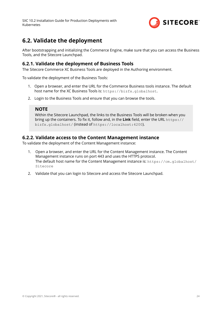

## <span id="page-23-0"></span>**6.2. Validate the deployment**

After bootstrapping and initializing the Commerce Engine, make sure that you can access the Business Tools, and the Sitecore Launchpad.

### **6.2.1. Validate the deployment of Business Tools**

The Sitecore Commerce XC Business Tools are deployed in the Authoring environment.

To validate the deployment of the Business Tools:

- 1. Open a browser, and enter the URL for the Commerce Business tools instance. The default host name for the XC Business Tools is: https://bizfx.globalhost.
- 2. Login to the Business Tools and ensure that you can browse the tools.

### **NOTE**

Within the Sitecore Launchpad, the links to the Business Tools will be broken when you bring up the containers. To fix it, follow and, in the Link field, enter the URL https:// bizfx.globalhost/ (instead of https://localhost:4200).

### **6.2.2. Validate access to the Content Management instance**

To validate the deployment of the Content Management instance:

- 1. Open a browser, and enter the URL for the Content Management instance. The Content Management instance runs on port 443 and uses the HTTPS protocol. The default host name for the Content Management instance is: https://cm.globalhost/ Sitecore
- 2. Validate that you can login to Sitecore and access the Sitecore Launchpad.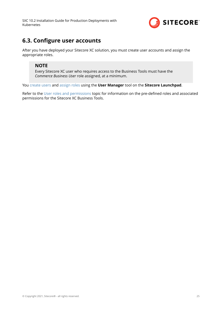

## <span id="page-24-0"></span>**6.3. Configure user accounts**

After you have deployed your Sitecore XC solution, you must create user accounts and assign the appropriate roles.

### **NOTE**

Every Sitecore XC user who requires access to the Business Tools must have the *Commerce Business User* role assigned, at a minimum.

You [create users](https://doc.sitecore.com/developers/102/platform-administration-and-architecture/en/create-a-user.html) and [assign roles](https://doc.sitecore.com/developers/102/platform-administration-and-architecture/en/add-a-user-to-a-role.html) using the **User Manager** tool on the **Sitecore Launchpad**.

Refer to the [User roles and permissions](https://doc.sitecore.com/developers/102/sitecore-experience-commerce/en/user-roles-and-permissions.html) topic for information on the pre-defined roles and associated permissions for the Sitecore XC Business Tools.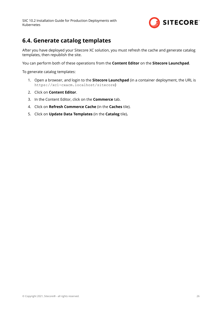

## <span id="page-25-0"></span>**6.4. Generate catalog templates**

After you have deployed your Sitecore XC solution, you must refresh the cache and generate catalog templates, then republish the site.

You can perform both of these operations from the **Content Editor** on the **Sitecore Launchpad**.

To generate catalog templates:

- 1. Open a browser, and login to the **Sitecore Launchpad** (in a container deployment, the URL is https://xc1-cxacm.localhost/sitecore)
- 2. Click on **Content Editor**.
- 3. In the Content Editor, click on the **Commerce** tab.
- 4. Click on **Refresh Commerce Cache** (in the **Caches** tile).
- 5. Click on **Update Data Templates** (in the **Catalog** tile)**.**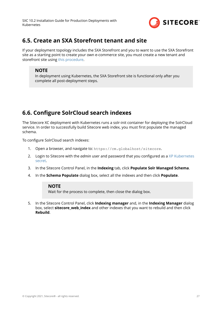

## <span id="page-26-0"></span>**6.5. Create an SXA Storefront tenant and site**

If your deployment topology includes the SXA Storefront and you to want to use the SXA Storefront site as a starting point to create your own e-commerce site, you must create a new tenant and storefront site using [this procedure.](https://doc.sitecore.com/developers/102/sitecore-experience-commerce/en/create-a-commerce-tenant-and-site.html)

### **NOTE**

In deployment using Kubernetes, the SXA Storefront site is functional only after you complete all post-deployment steps.

## **6.6. Configure SolrCloud search indexes**

The Sitecore XC deployment with Kubernetes runs a solr-init container for deploying the SolrCloud service. In order to successfully build Sitecore web index, you must first populate the managed schema.

To configure SolrCloud search indexes:

- 1. Open a browser, and navigate to: https://cm.globalhost/sitecore.
- 2. Login to Sitecore with the *admin* user and password that you configured as a [XP Kubernetes](#page-28-0) [secret](#page-28-0).
- 3. In the Sitecore Control Panel, in the **Indexing** tab, click **Populate Solr Managed Schema**.
- 4. In the **Schema Populate** dialog box, select all the indexes and then click **Populate**.

### **NOTE**

Wait for the process to complete, then close the dialog box.

5. In the Sitecore Control Panel, click **Indexing manager** and, in the **Indexing Manager** dialog box, select **sitecore\_web\_index** and other indexes that you want to rebuild and then click **Rebuild**.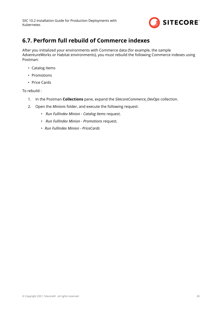

## <span id="page-27-0"></span>**6.7. Perform full rebuild of Commerce indexes**

After you initialized your environments with Commerce data (for example, the sample AdventureWorks or Habitat environments), you must rebuild the following Commerce indexes using Postman:

- Catalog Items
- Promotions
- Price Cards

To rebuild :

- 1. In the Postman **Collections** pane, expand the *SitecoreCommerce\_DevOps* collection.
- 2. Open the *Minions* folder, and execute the following request:
	- *Run FullIndex Minion Catalog Items* request.
	- *Run FullIndex Minion Promotions* request.
	- *Run FullIndex Minion PriceCards*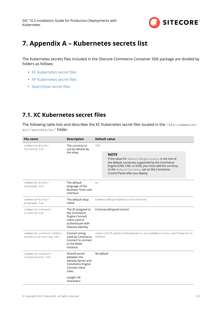

# <span id="page-28-0"></span>**7. Appendix A – Kubernetes secrets list**

The Kubernetes secrets files included in the Sitecore Commerce Container SDK package are divided by folders as follows:

- XC Kubernetes secret files
- XP Kubernetes secret files
- SearchStax secret files

## **7.1. XC Kubernetes secret files**

The following table lists and describes the XC Kubernetes secret files located in the /k8s-commercexc1/secrets/xc/ folder.

| <b>File name</b>                                 | <b>Description</b>                                                                                                       | <b>Default value</b>                                                                                                                                                                                                                                           |  |  |
|--------------------------------------------------|--------------------------------------------------------------------------------------------------------------------------|----------------------------------------------------------------------------------------------------------------------------------------------------------------------------------------------------------------------------------------------------------------|--|--|
| commerce-bizfx-<br>currency.txt                  | The currency to<br>use by default by                                                                                     | <b>USD</b>                                                                                                                                                                                                                                                     |  |  |
|                                                  | the shop.                                                                                                                | <b>NOTE</b><br>If the value for DefaultShopCurrency is not one of<br>the default currencies supported by the Commerce<br>Engine (USD, CAD, or EUR), you must add the currency<br>to the DefaultCurrency set on the Commerce<br>Control Panel after you deploy. |  |  |
| commerce-bizfx-<br>language.txt                  | The default<br>language of the<br><b>Business Tools user</b><br>interface.                                               | en                                                                                                                                                                                                                                                             |  |  |
| commerce-bizfx-<br>shopname.txt                  | The default shop<br>name.                                                                                                | CommerceEngineDefaultStorefront                                                                                                                                                                                                                                |  |  |
| commerce-connect-<br>clientid.txt                | The ID assigned to<br>the Commerce<br><b>Engine Connect</b><br>client used to<br>authenticate with<br>Sitecore Identity. | CommerceEngineConnect                                                                                                                                                                                                                                          |  |  |
| commerce-connect-redis-<br>connection-string.txt | Connect string<br>used by Commerce<br>Connect to connect<br>to the Redis<br>instance.                                    | redis:6379, defaultDatabase=1, allowAdmin=true, syncTimeout=3<br>600000                                                                                                                                                                                        |  |  |
| commerce-connect-<br>clientsecret.txt            | Shared secret<br>between the<br>Identity Server and<br>Commerce Engine<br>Connect client<br>roles.                       | No default                                                                                                                                                                                                                                                     |  |  |
|                                                  | Length: 64<br>characters                                                                                                 |                                                                                                                                                                                                                                                                |  |  |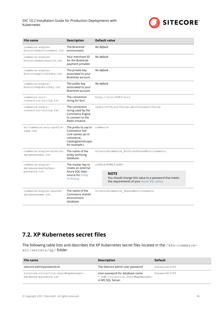

<span id="page-29-0"></span>

| <b>File name</b>                                                                                           | <b>Description</b>                                                                                            | <b>Default value</b>                                                                                               |  |  |
|------------------------------------------------------------------------------------------------------------|---------------------------------------------------------------------------------------------------------------|--------------------------------------------------------------------------------------------------------------------|--|--|
| commerce-engine-<br>braintreeenvironment.txt                                                               | The Braintree<br>environment.                                                                                 | No default                                                                                                         |  |  |
| commerce-engine-<br>braintreemerchantid.txt                                                                | Your merchant ID<br>for the Braintree<br>payment provider.                                                    | No default                                                                                                         |  |  |
| The private key<br>commerce-engine-<br>braintreeprivatekey.txt<br>associated to your<br>Braintree account. |                                                                                                               | No default                                                                                                         |  |  |
| commerce-engine-<br>braintreepublickey.txt                                                                 | The public key<br>associated to your<br>Braintree account.                                                    | No default                                                                                                         |  |  |
| commerce-solr-<br>connection-string.txt                                                                    | The connection<br>string for Sorl.                                                                            | http://solr:8983/solr                                                                                              |  |  |
| commerce-redis-<br>connection-string.txt                                                                   | The connection<br>string used by the<br>Commerce Engine<br>to connect to the<br>Redis instance.               | redis: 6379, ssl=False, abortConnect=False                                                                         |  |  |
| xc/commerce-solr-prefix-<br>name.txt                                                                       | The prefix to use in<br>Commerce Solr<br>core names (as in<br>commerce<br>CatalogItemsScope,<br>for example.) | commerce                                                                                                           |  |  |
| commerce-engine-archive-<br>databasename.txt                                                               | The name of the<br>entity archiving<br>database.                                                              | SitecoreCommerce ArchiveSharedEnvironments                                                                         |  |  |
| commerce-engine-<br>database-masterkey-                                                                    | The master key to<br>create an external                                                                       | a3X8tA3FRMZf3xKN!                                                                                                  |  |  |
| password.txt                                                                                               | Azure SQL data<br>source for Entity<br>Archiving.                                                             | <b>NOTE</b><br>You should change this value to a password that meets<br>the requirements of your Azure SQL policy. |  |  |
| commerce-engine-shared-<br>databasename.txt                                                                | The name of the<br>Commerce shared<br>environment<br>database.                                                | SitecoreCommerce SharedEnvironments                                                                                |  |  |

## **7.2. XP Kubernetes secret files**

The following table lists and describes the XP Kubernetes secret files located in the /k8s-commercexc1/secrets/xp/ folder.

| File name                                                     | <b>Description</b>                                                                         | <b>Default</b> |
|---------------------------------------------------------------|--------------------------------------------------------------------------------------------|----------------|
| sitecore-adminpassword.txt                                    | The Sitecore admin user password                                                           | Password12345  |
| sitecore-collection-shardmapmanager-<br>database-password.txt | User password for database name<br>* Xdb. Collection. ShardMapManager<br>in MS SQL Server. | Password12345  |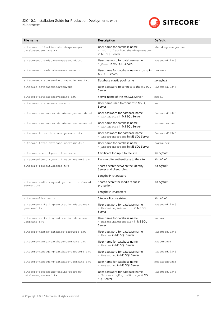

| <b>File name</b>                                              | <b>Description</b>                                                                     | <b>Default</b>      |
|---------------------------------------------------------------|----------------------------------------------------------------------------------------|---------------------|
| sitecore-collection-shardmapmanager-<br>database-username.txt | User name for database name<br>* Xdb. Collection. ShardMapManager<br>in MS SQL Server. | shardmapmanageruser |
| sitecore-core-database-password.txt                           | User password for database name<br>* Core in MS SQL Server.                            | Password12345       |
| sitecore-core-database-username.txt                           | User name for database name * Core in coreuser<br>MS SQL Server.                       |                     |
| sitecore-database-elastic-pool-name.txt                       | Database elastic pool name                                                             | no default          |
| sitecore-databasepassword.txt                                 | User password to connect to the MS SQL<br>Server                                       | Password12345       |
| sitecore-databaseservername.txt                               | Server name of the MS SQL Server                                                       | mssql               |
| sitecore-databaseusername.txt                                 | User name used to connect to MS SQL<br>Server                                          | sa                  |
| sitecore-exm-master-database-password.txt                     | User password for database name<br>* EXM. Master in MS SQL Server                      | Password12345       |
| sitecore-exm-master-database-username.txt                     | User name for database name<br>* EXM. Master in MS SQL Server                          | exmmasteruser       |
| sitecore-forms-database-password.txt                          | User password for database name<br>* ExperienceForms in MS SQL Server                  | Password12345       |
| sitecore-forms-database-username.txt                          | User name for database name<br>* ExperienceForms in MS SQL Server                      | formsuser           |
| sitecore-identitycertificate.txt                              | Certificate for input to the site                                                      | No default          |
| sitecore-identitycertificatepassword.txt                      | Password to authenticate to the site.                                                  | No default          |
| sitecore-identitysecret.txt                                   | Shared secret between the Identity<br>Server and client roles.                         | No default          |
|                                                               | Length: 64 characters                                                                  |                     |
| sitecore-media-request-protection-shared-<br>secret.txt       | Shared secret for media request<br>protection.                                         | No default          |
|                                                               | Length: 64 characters                                                                  |                     |
| sitecore-license.txt                                          | Sitecore license string.                                                               | No default          |
| sitecore-marketing-automation-database-<br>password.txt       | User password for database name<br>* MarketingAutomation in MS SQL<br>Server           | Password12345       |
| sitecore-marketing-automation-database-<br>username.txt       | User name for database name<br>* MarketingAutomation in MS SQL<br>Server               | mauser              |
| sitecore-master-database-password.txt                         | User password for database name<br>* Master in MS SQL Server                           | Password12345       |
| sitecore-master-database-username.txt                         | User name for database name<br>* Master in MS SQL Server                               | masteruser          |
| sitecore-messaging-database-password.txt                      | User password for database name<br>* Messaging in MS SQL Server                        | Password12345       |
| sitecore-messaging-database-username.txt                      | User name for database name<br>*_Messaging in MS SQL Server                            | messaginguser       |
| sitecore-processing-engine-storage-<br>database-password.txt  | User password for database name<br>* ProcessingEngineStorage in MS<br>SQL Server       | Password12345       |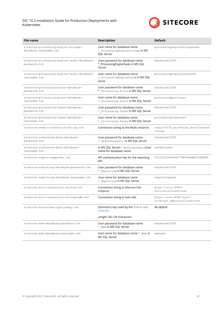

| File name                                                    | <b>Description</b>                                                             | <b>Default</b>                                         |
|--------------------------------------------------------------|--------------------------------------------------------------------------------|--------------------------------------------------------|
| sitecore-processing-engine-storage-<br>database-username.txt | User name for database name<br>* ProcessingEngineStorage in MS<br>SQL Server   | processingenginestorageuser                            |
| sitecore-processing-engine-tasks-database-<br>password.txt   | User password for database name<br>* ProcessingEngineTasks in MS SQL<br>Server | Password12345                                          |
| sitecore-processing-engine-tasks-database-<br>username.txt   | User name for database name<br>*_ProcessingEngineTaskS in MS SQL<br>Serve      | processingenginetasksuser                              |
| sitecore-processing-pools-database-<br>password.txt          | User password for database name<br>* Processing. Pools in MS SQL Server        | Password12345                                          |
| sitecore-processing-pools-database-<br>username.txt          | User name for database name<br>* Processing. Pools in MS SQL Server            | processingpoolsuser                                    |
| sitecore-processing-tasks-database-<br>password.txt          | User password for database name<br>* Processing. Tasks in MS SQL Server        | Password12345                                          |
| sitecore-processing-tasks-database-<br>username.txt          | User name for database name<br>* Processing. Tasks in MS SQL Server            | processingtasksuser                                    |
| sitecore-redis-connection-string.txt                         | Connection string to the Redis instance                                        | redis: 6379, ssl=False, abortConnect<br>$= False$      |
| sitecore-reference-data-database-<br>password.txt            | User password for database name<br>* ReferenceData in MS SQL Server            | Password12345                                          |
| sitecore-reference-data-database-<br>username.txt            | in MS SQL Server* ReferenceDataUser<br>name for database name                  | refdatauser                                            |
| sitecore-reportingapikey.txt                                 | API authentication key for the reporting<br>API.                               | 00112233445566778899AABBCCDDEEFF                       |
| sitecore-reporting-database-password.txt                     | User password for database name<br>*_Reporting in MS SQL Server                | Password12345                                          |
| sitecore-reporting-database-username.txt                     | User name for database name<br>* Reporting in MS SQL Server                    | reportinguser                                          |
| sitecore-solr-connection-string.txt                          | Connection string to Sitecore Solr<br>instance.                                | http://solr:8983/<br>solr; solrCloud=true              |
| sitecore-solr-connection-string-xdb.txt                      | Connection string to Solr-xdb.                                                 | http://solr:8983/solr/<br>sitecore_xdb; solrCloud=true |
| sitecore-telerikencryptionkey.txt                            | Symmetric key used by the Telerik web<br>controls.                             | No default                                             |
|                                                              | Length: 64-128 characters                                                      |                                                        |
| sitecore-web-database-password.txt                           | User password for database name<br>* Web in MS SQL Server                      | Password12345                                          |
| sitecore-web-database-username.txt                           | User name for database name *_Web in<br>MS SQL Server                          | webuser                                                |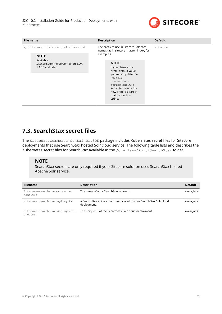

<span id="page-32-0"></span>

| The prefix to use in Sitecore Solr core<br>xp/sitecore-solr-core-prefix-name.txt<br>sitecore<br>names (as in sitecore_master_index, for<br>example.)<br><b>NOTE</b><br>Available in<br><b>NOTE</b><br>Sitecore.Commerce.Containers.SDK<br>$1.1.10$ and later.<br>If you change the<br>prefix default value,<br>you must update the<br>xp/solr-<br>connection-<br>string-xdb.txt<br>secret to include the<br>new prefix as part of | File name | <b>Description</b> | <b>Default</b> |
|-----------------------------------------------------------------------------------------------------------------------------------------------------------------------------------------------------------------------------------------------------------------------------------------------------------------------------------------------------------------------------------------------------------------------------------|-----------|--------------------|----------------|
|                                                                                                                                                                                                                                                                                                                                                                                                                                   |           |                    |                |
| string.                                                                                                                                                                                                                                                                                                                                                                                                                           |           | that connection    |                |

# **7.3. SearchStax secret files**

The Sitecore. Commerce. Container. SDK package includes Kubernetes secret files for Sitecore deployments that use SearchStax hosted Solr cloud service. The following table lists and describes the Kubernetes secret files for SearchStax available in the /overlays/init/SearchStax folder.

### **NOTE**

SearchStax secrets are only required if your Sitecore solution uses SearchStax hosted Apache Solr service.

| <b>Filename</b>                            | <b>Description</b>                                                                   | <b>Default</b> |
|--------------------------------------------|--------------------------------------------------------------------------------------|----------------|
| Sitecore-searchstax-account-<br>name.txt   | The name of your SearchStax account.                                                 | No default     |
| sitecore-searchstax-apikey.txt             | A SearchStax api key that is associated to your SearchStax Solr cloud<br>deployment. | No default     |
| sitecore-searchstax-deployment-<br>uid.txt | The unique ID of the SearchStax Solr cloud deployment.                               | No default     |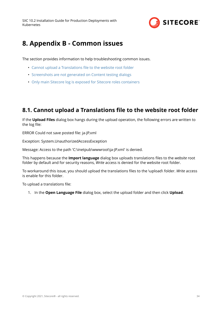

# <span id="page-33-0"></span>**8. Appendix B - Common issues**

The section provides information to help troubleshooting common issues.

- Cannot upload a Translations file to the website root folder
- [Screenshots are not generated on Content testing dialogs](#page-34-0)
- [Only main Sitecore log is exposed for Sitecore roles containers](#page-35-0)

## **8.1. Cannot upload a Translations file to the website root folder**

If the **Upload Files** dialog box hangs during the upload operation, the following errors are written to the log file:

ERROR Could not save posted file: ja-JP.xml

Exception: System.UnauthorizedAccessException

Message: Access to the path 'C:\inetpub\wwwroot\ja-JP.xml' is denied.

This happens because the **Import language** dialog box uploads translations ȴles to the *website* root folder by default and for security reasons, *Write* access is denied for the website root folder.

To workaround this issue, you should upload the translations files to the \upload\ folder. *Write* access is enable for this folder.

To upload a translations file:

1. In the **Open Language File** dialog box, select the upload folder and then click **Upload**.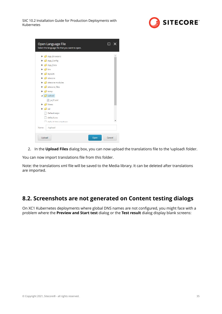

<span id="page-34-0"></span>

| Open Language File<br>Select the language file that you want to open.                                                                                                                                                                                                                                                                                                                                                                                                                                                                             |        |
|---------------------------------------------------------------------------------------------------------------------------------------------------------------------------------------------------------------------------------------------------------------------------------------------------------------------------------------------------------------------------------------------------------------------------------------------------------------------------------------------------------------------------------------------------|--------|
| App_Browsers<br>$\triangleright$ $\blacksquare$ App_Config<br>$\triangleright$ $\blacksquare$ App_Data<br>$\triangleright$ $\blacksquare$ bin<br>$\triangleright$ $\blacksquare$ layouts<br>$\triangleright$ $\blacksquare$ sitecore<br>$\triangleright$ $\blacksquare$ sitecore modules<br>$\triangleright$ sitecore_files<br>$\triangleright$ $\blacksquare$ temp<br>$\triangleq$ Upload<br>sa ja-JP.xml<br>$\triangleright$ $\blacksquare$ Views<br>$\triangleright$ $\blacksquare$ xsl<br>Default.aspx<br>default.css<br>default htm citedown |        |
| /upload<br>Name:<br>Upload<br>Open                                                                                                                                                                                                                                                                                                                                                                                                                                                                                                                | Cancel |

2. In the **Upload Files** dialog box, you can now upload the translations file to the \upload\ folder.

You can now import translations file from this folder.

Note: the translations xml file will be saved to the Media library. It can be deleted after translations are imported.

## **8.2. Screenshots are not generated on Content testing dialogs**

On XC1 Kubernetes deployments where global DNS names are not configured, you might face with a problem where the **Preview and Start test** dialog or the **Test result** dialog display blank screens: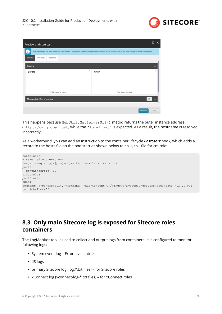

<span id="page-35-0"></span>

| Preview and start test                                                                                                                                                    | □<br>$\times$        |
|---------------------------------------------------------------------------------------------------------------------------------------------------------------------------|----------------------|
| ť<br>With the changes you have made, you have created 2 experiences. The test will require 4362 visitors to find a winner. We do not have enough historical data to provi |                      |
| <b>PREVIEW</b><br>VARIABLES<br>OBJECTIVE                                                                                                                                  |                      |
| Preview                                                                                                                                                                   | $\hat{\phantom{a}}$  |
| $^{\circ}$<br><b>Before</b>                                                                                                                                               | $^{\circ}$<br>After  |
|                                                                                                                                                                           |                      |
|                                                                                                                                                                           |                      |
| Click image to zoom                                                                                                                                                       | Click image to zoom  |
| My expected effect of changes                                                                                                                                             | Ø                    |
|                                                                                                                                                                           |                      |
|                                                                                                                                                                           | Start test<br>Cancel |

This happens because WebUtil.GetServerUrl() metod returns the outer instance address (http://cm.globalhost) while the 'localhost' is expected. As a result, the hostname is resolved incorrectly.

As a workaround, you can add an instruction to the container lifecycle *PostStart* hook, which adds a record to the hosts file on the pod start as shown below to  $cm$ .  $yam1$  file for cm role:

```
containers:
- name: sitecore-xc1-cm
image: {registry}/{project}/sitecore-xc1-cm:{version}
ports:
 - containerPort: 80
lifecycle:
postStart:
exec:
command: ["powershell","-Command","Add-Content C:/Windows/System32/drivers/etc/hosts '127.0.0.1 
cm.globalhost'"]
```
## **8.3. Only main Sitecore log is exposed for Sitecore roles containers**

The LogMonitor tool is used to collect and output logs from containers. It is configured to monitor following logs:

- System event log Error level entries
- IIS logs
- primary Sitecore log (log.\*.txt files) for Sitecore roles
- xConnect log (xconnect-log-\*.txt files) for xConnect roles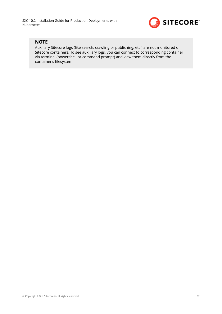

### **NOTE**

Auxiliary Sitecore logs (like search, crawling or publishing, etc.) are not monitored on Sitecore containers. To see auxiliary logs, you can connect to corresponding container via terminal (powershell or command prompt) and view them directly from the container's filesystem.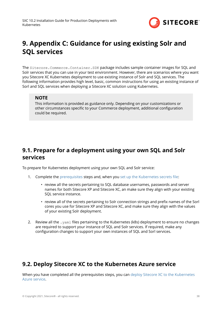

# <span id="page-37-0"></span>**9. Appendix C: Guidance for using existing Solr and SQL services**

The Sitecore.Commerce.Container.SDK package includes sample container images for SQL and Solr services that you can use in your test environment. However, there are scenarios where you want you Sitecore XC Kubernetes deployment to use existing instance of Solr and SQL services. The following information provides high level, basic, common instructions for using an existing instance of Sorl and SQL services when deploying a Sitecore XC solution using Kubernetes.

### **NOTE**

This information is provided as guidance only. Depending on your customizations or other circumstances specific to your Commerce deployment, additional configuration could be required.

## **9.1. Prepare for a deployment using your own SQL and Solr services**

To prepare for Kubernetes deployment using your own SQL and Solr service:

- 1. Complete the [prerequisites](#page-8-0) steps and, when you set up the Kubernetes secrets file:
	- review all the secrets pertaining to SQL database usernames, passwords and server names for both Sitecore XP and Sitecore XC, an make sure they align with your existing SQL service instance.
	- review all of the secrets pertaining to Solr connection strings and prefix names of the Sorl cores you use for Sitecore XP and Sitecore XC, and make sure they align with the values of your existing Solr deployment.
- 2. Review all the . yam1 files pertaining to the Kubernetes (k8s) deployment to ensure no changes are required to support your instance of SQL and Solr services. If required, make any configuration changes to support your own instances of SQL and Sorl services.

## **9.2. Deploy Sitecore XC to the Kubernetes Azure service**

When you have completed all the prerequisites steps, you can [deploy Sitecore XC to the Kubernetes](#page-15-0) [Azure service.](#page-15-0)